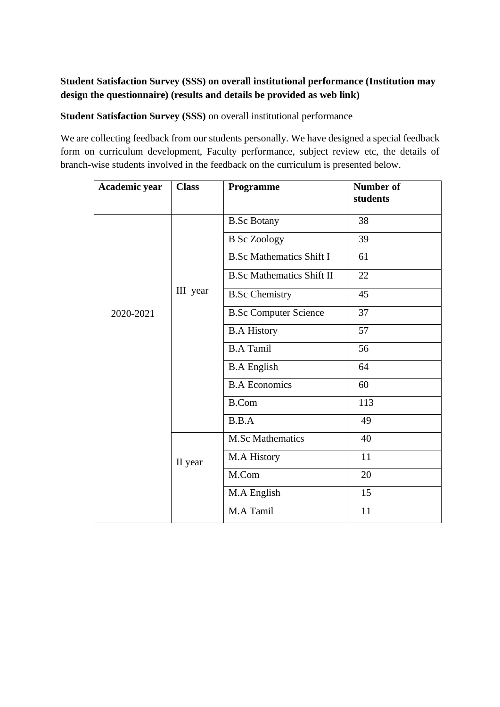# **Student Satisfaction Survey (SSS) on overall institutional performance (Institution may design the questionnaire) (results and details be provided as web link)**

**Student Satisfaction Survey (SSS)** on overall institutional performance

We are collecting feedback from our students personally. We have designed a special feedback form on curriculum development, Faculty performance, subject review etc, the details of branch-wise students involved in the feedback on the curriculum is presented below.

| Academic year | <b>Class</b> | Programme                        | <b>Number of</b><br>students |
|---------------|--------------|----------------------------------|------------------------------|
|               |              | <b>B.Sc Botany</b>               | 38                           |
|               |              | <b>B</b> Sc Zoology              | 39                           |
|               |              | <b>B.Sc Mathematics Shift I</b>  | 61                           |
| 2020-2021     | III year     | <b>B.Sc Mathematics Shift II</b> | 22                           |
|               |              | <b>B.Sc Chemistry</b>            | 45                           |
|               |              | <b>B.Sc Computer Science</b>     | 37                           |
|               |              | <b>B.A History</b>               | 57                           |
|               |              | <b>B.A Tamil</b>                 | 56                           |
|               |              | <b>B.A English</b>               | 64                           |
|               |              | <b>B.A Economics</b>             | 60                           |
|               |              | <b>B.Com</b>                     | 113                          |
|               |              | B.B.A                            | 49                           |
|               | II year      | <b>M.Sc Mathematics</b>          | 40                           |
|               |              | M.A History                      | 11                           |
|               |              | M.Com                            | 20                           |
|               |              | M.A English                      | 15                           |
|               |              | M.A Tamil                        | 11                           |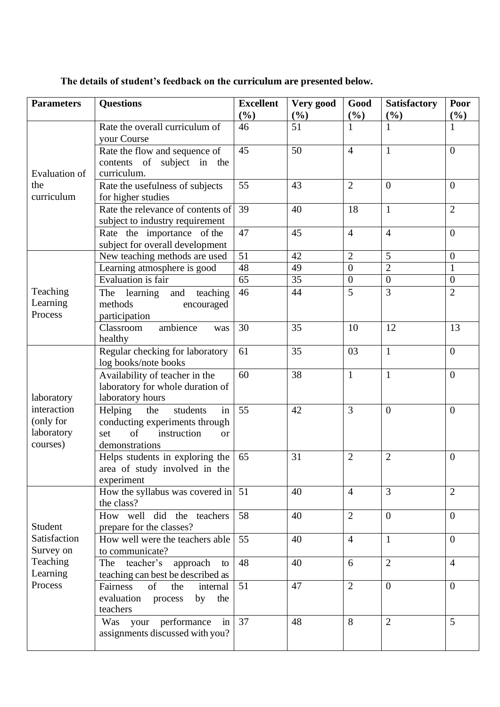| <b>Parameters</b>                                                       | <b>Questions</b>                                                                                                              | <b>Excellent</b><br>$(\%)$ | Very good<br>(%) | Good<br>$(\%)$ | <b>Satisfactory</b><br>(%) | Poor<br>(%)      |
|-------------------------------------------------------------------------|-------------------------------------------------------------------------------------------------------------------------------|----------------------------|------------------|----------------|----------------------------|------------------|
| Evaluation of<br>the<br>curriculum                                      | Rate the overall curriculum of<br>your Course                                                                                 | 46                         | 51               | 1              | 1                          | 1                |
|                                                                         | Rate the flow and sequence of<br>contents of subject in the<br>curriculum.                                                    | 45                         | 50               | $\overline{4}$ | $\mathbf{1}$               | $\overline{0}$   |
|                                                                         | Rate the usefulness of subjects<br>for higher studies                                                                         | 55                         | 43               | $\overline{2}$ | $\overline{0}$             | $\boldsymbol{0}$ |
|                                                                         | Rate the relevance of contents of<br>subject to industry requirement                                                          | 39                         | 40               | 18             | $\mathbf{1}$               | $\overline{2}$   |
|                                                                         | Rate the importance of the<br>subject for overall development                                                                 | 47                         | 45               | $\overline{4}$ | $\overline{4}$             | $\overline{0}$   |
|                                                                         | New teaching methods are used                                                                                                 | $\overline{51}$            | 42               | $\overline{2}$ | 5                          | $\boldsymbol{0}$ |
|                                                                         | Learning atmosphere is good                                                                                                   | 48                         | 49               | $\overline{0}$ | $\overline{2}$             | $\mathbf{1}$     |
|                                                                         | <b>Evaluation</b> is fair                                                                                                     | $\overline{65}$            | 35               | $\overline{0}$ | $\overline{0}$             | $\boldsymbol{0}$ |
| Teaching<br>Learning<br>Process                                         | learning<br>and<br>teaching<br>The<br>methods<br>encouraged<br>participation                                                  | 46                         | 44               | 5              | 3                          | $\overline{2}$   |
|                                                                         | ambience<br>Classroom<br>was<br>healthy                                                                                       | 30                         | 35               | 10             | 12                         | 13               |
| laboratory<br>interaction<br>(only for<br>laboratory<br>courses)        | Regular checking for laboratory<br>log books/note books                                                                       | 61                         | 35               | 03             | $\mathbf{1}$               | $\boldsymbol{0}$ |
|                                                                         | Availability of teacher in the<br>laboratory for whole duration of<br>laboratory hours                                        | 60                         | 38               | $\mathbf{1}$   | $\mathbf{1}$               | $\overline{0}$   |
|                                                                         | Helping<br>in<br>the<br>students<br>conducting experiments through<br>of<br>instruction<br>set<br><b>or</b><br>demonstrations | 55                         | 42               | 3              | $\overline{0}$             | $\theta$         |
|                                                                         | Helps students in exploring the<br>area of study involved in the<br>experiment                                                | 65                         | 31               | $\overline{2}$ | $\overline{2}$             | $\overline{0}$   |
| Student<br>Satisfaction<br>Survey on<br>Teaching<br>Learning<br>Process | How the syllabus was covered in<br>the class?                                                                                 | 51                         | 40               | $\overline{4}$ | $\overline{3}$             | $\overline{2}$   |
|                                                                         | How well did the teachers<br>prepare for the classes?                                                                         | 58                         | 40               | $\overline{2}$ | $\overline{0}$             | $\overline{0}$   |
|                                                                         | How well were the teachers able<br>to communicate?                                                                            | 55                         | 40               | $\overline{4}$ | $\mathbf{1}$               | $\overline{0}$   |
|                                                                         | teacher's<br>approach<br>The<br>to<br>teaching can best be described as                                                       | 48                         | 40               | 6              | $\overline{2}$             | $\overline{4}$   |
|                                                                         | <b>Fairness</b><br>of<br>the<br>internal<br>evaluation process<br>by<br>the<br>teachers                                       | 51                         | 47               | $\overline{2}$ | $\overline{0}$             | $\overline{0}$   |
|                                                                         | Was your performance<br>in<br>assignments discussed with you?                                                                 | 37                         | 48               | 8              | $\overline{2}$             | 5                |

# **The details of student's feedback on the curriculum are presented below.**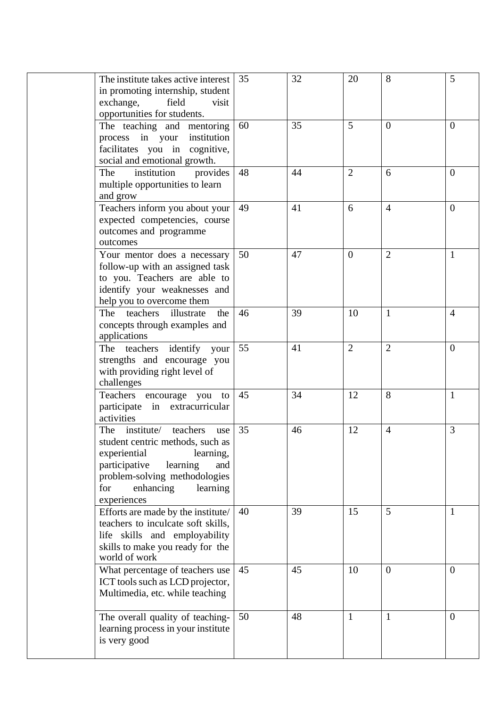| The institute takes active interest<br>in promoting internship, student<br>exchange,<br>field<br>visit<br>opportunities for students.                                                                                     | 35 | 32 | 20             | 8              | 5              |
|---------------------------------------------------------------------------------------------------------------------------------------------------------------------------------------------------------------------------|----|----|----------------|----------------|----------------|
| The teaching and mentoring<br>process in your<br>institution<br>facilitates you in cognitive,<br>social and emotional growth.                                                                                             | 60 | 35 | 5              | $\overline{0}$ | $\overline{0}$ |
| institution<br>The<br>provides<br>multiple opportunities to learn<br>and grow                                                                                                                                             | 48 | 44 | $\overline{2}$ | 6              | $\overline{0}$ |
| Teachers inform you about your<br>expected competencies, course<br>outcomes and programme<br>outcomes                                                                                                                     | 49 | 41 | 6              | $\overline{4}$ | $\overline{0}$ |
| Your mentor does a necessary<br>follow-up with an assigned task<br>to you. Teachers are able to<br>identify your weaknesses and<br>help you to overcome them                                                              | 50 | 47 | $\theta$       | $\overline{2}$ | 1              |
| teachers<br>illustrate<br>The<br>the<br>concepts through examples and<br>applications                                                                                                                                     | 46 | 39 | 10             | $\mathbf{1}$   | $\overline{4}$ |
| The teachers identify your<br>strengths and encourage you<br>with providing right level of<br>challenges                                                                                                                  | 55 | 41 | $\overline{2}$ | $\overline{2}$ | $\overline{0}$ |
| Teachers encourage you<br>to<br>participate in extracurricular<br>activities                                                                                                                                              | 45 | 34 | 12             | 8              | $\mathbf{1}$   |
| institute/<br>teachers<br>The<br>use<br>student centric methods, such as<br>experiential<br>learning,<br>participative<br>learning<br>and<br>problem-solving methodologies<br>enhancing<br>for<br>learning<br>experiences | 35 | 46 | 12             | $\overline{4}$ | 3              |
| Efforts are made by the institute/<br>teachers to inculcate soft skills,<br>life skills and employability<br>skills to make you ready for the<br>world of work                                                            | 40 | 39 | 15             | 5              | 1              |
| What percentage of teachers use<br>ICT tools such as LCD projector,<br>Multimedia, etc. while teaching                                                                                                                    | 45 | 45 | 10             | $\overline{0}$ | $\overline{0}$ |
| The overall quality of teaching-<br>learning process in your institute<br>is very good                                                                                                                                    | 50 | 48 | 1              | $\mathbf{1}$   | $\overline{0}$ |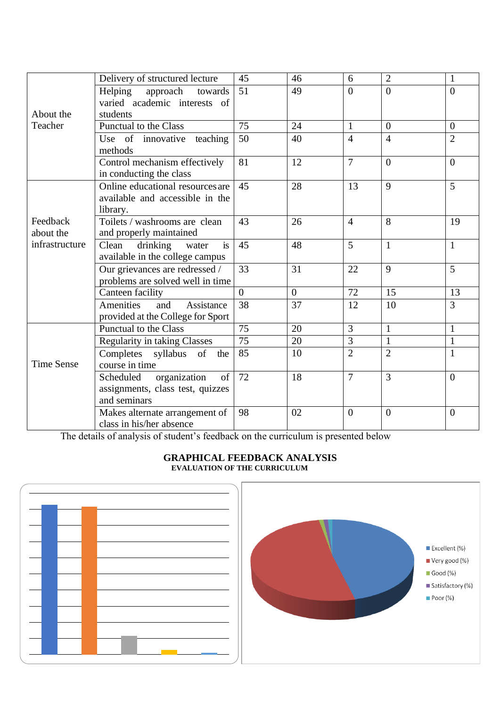|                   | Delivery of structured lecture      | 45              | 46             | 6              | $\overline{2}$ | $\mathbf{1}$     |
|-------------------|-------------------------------------|-----------------|----------------|----------------|----------------|------------------|
|                   | Helping<br>approach<br>towards      | 51              | 49             | $\overline{0}$ | $\overline{0}$ | $\overline{0}$   |
|                   | varied academic interests of        |                 |                |                |                |                  |
|                   | About the<br>students               |                 |                |                |                |                  |
| Teacher           | Punctual to the Class               | 75              | 24             | 1              | $\theta$       | $\overline{0}$   |
|                   | Use of innovative teaching          | 50              | 40             | $\overline{4}$ | $\overline{4}$ | $\overline{2}$   |
|                   | methods                             |                 |                |                |                |                  |
|                   | Control mechanism effectively       | 81              | 12             | $\overline{7}$ | $\Omega$       | $\theta$         |
|                   | in conducting the class             |                 |                |                |                |                  |
|                   | Online educational resources are    | 45              | 28             | 13             | 9              | 5                |
|                   | available and accessible in the     |                 |                |                |                |                  |
|                   | library.                            |                 |                |                |                |                  |
| Feedback          | Toilets / washrooms are clean       | 43              | 26             | $\overline{4}$ | 8              | 19               |
| about the         | and properly maintained             |                 |                |                |                |                  |
| infrastructure    | drinking<br>Clean<br>water<br>is    | 45              | 48             | 5              | $\mathbf{1}$   | $\mathbf{1}$     |
|                   | available in the college campus     |                 |                |                |                |                  |
|                   | Our grievances are redressed /      | 33              | 31             | 22             | 9              | 5                |
|                   | problems are solved well in time    |                 |                |                |                |                  |
|                   | Canteen facility                    | $\Omega$        | $\overline{0}$ | 72             | 15             | 13               |
|                   | Amenities<br>Assistance<br>and      | 38              | 37             | 12             | 10             | $\overline{3}$   |
|                   | provided at the College for Sport   |                 |                |                |                |                  |
|                   | Punctual to the Class               | $\overline{75}$ | 20             | $\overline{3}$ | $\mathbf{1}$   | $\mathbf{1}$     |
|                   | <b>Regularity in taking Classes</b> | $\overline{75}$ | 20             | $\overline{3}$ | $\mathbf{1}$   | $\mathbf{1}$     |
|                   | Completes syllabus of the           | 85              | 10             | $\overline{2}$ | $\overline{2}$ | $\mathbf{1}$     |
| <b>Time Sense</b> | course in time                      |                 |                |                |                |                  |
|                   | organization<br>Scheduled<br>of     | 72              | 18             | $\overline{7}$ | $\overline{3}$ | $\overline{0}$   |
|                   | assignments, class test, quizzes    |                 |                |                |                |                  |
|                   | and seminars                        |                 |                |                |                |                  |
|                   | Makes alternate arrangement of      | 98              | 02             | $\overline{0}$ | $\overline{0}$ | $\boldsymbol{0}$ |
|                   | class in his/her absence            |                 |                |                |                |                  |

The details of analysis of student's feedback on the curriculum is presented below



#### **GRAPHICAL FEEDBACK ANALYSIS EVALUATION OF THE CURRICULUM**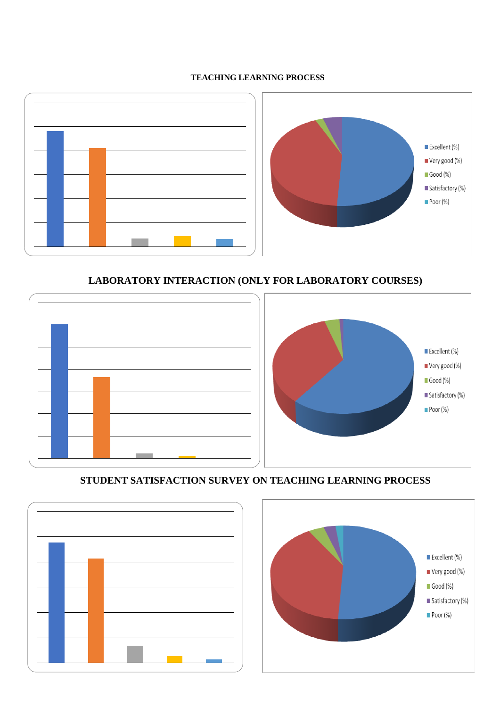#### **TEACHING LEARNING PROCESS**



### **LABORATORY INTERACTION (ONLY FOR LABORATORY COURSES)**



### **STUDENT SATISFACTION SURVEY ON TEACHING LEARNING PROCESS**



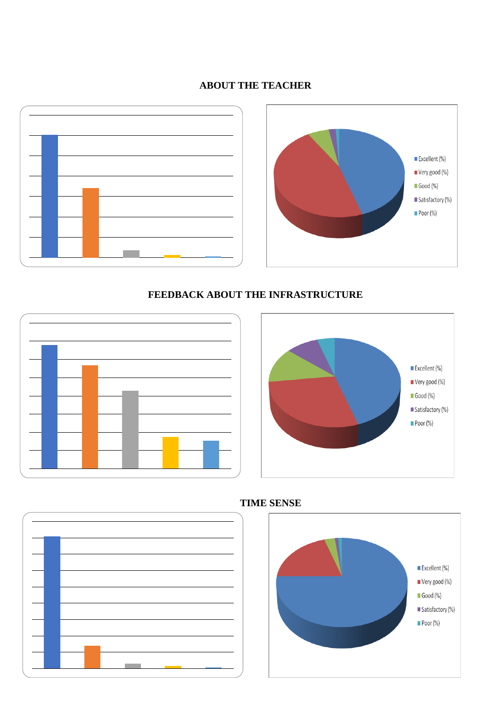### **ABOUT THE TEACHER**





# **FEEDBACK ABOUT THE INFRASTRUCTURE**







#### **TIME SENSE**